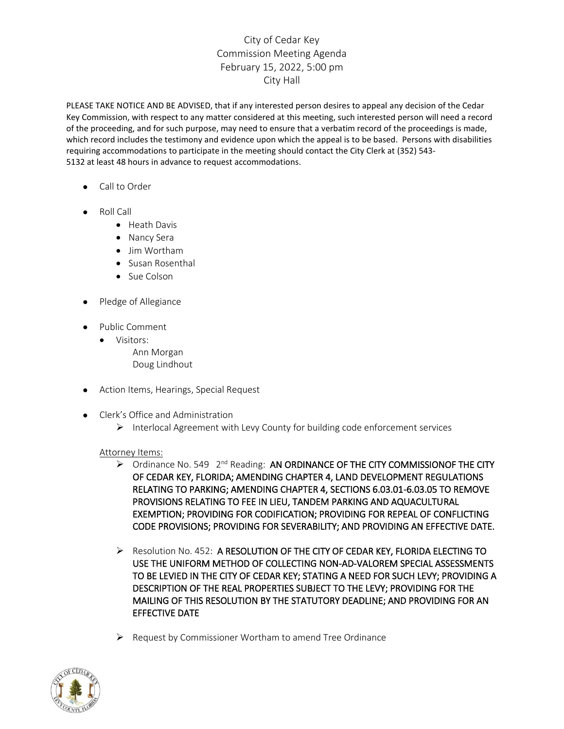## City of Cedar Key Commission Meeting Agenda February 15, 2022, 5:00 pm City Hall

PLEASE TAKE NOTICE AND BE ADVISED, that if any interested person desires to appeal any decision of the Cedar Key Commission, with respect to any matter considered at this meeting, such interested person will need a record of the proceeding, and for such purpose, may need to ensure that a verbatim record of the proceedings is made, which record includes the testimony and evidence upon which the appeal is to be based. Persons with disabilities requiring accommodations to participate in the meeting should contact the City Clerk at (352) 543- 5132 at least 48 hours in advance to request accommodations.

- Call to Order
- Roll Call
	- Heath Davis
	- Nancy Sera
	- Jim Wortham
	- Susan Rosenthal
	- Sue Colson
- Pledge of Allegiance
- Public Comment
	- Visitors: Ann Morgan Doug Lindhout
- Action Items, Hearings, Special Request
- Clerk's Office and Administration
	- ➢ Interlocal Agreement with Levy County for building code enforcement services

## Attorney Items:

- $\triangleright$  Ordinance No. 549 2<sup>nd</sup> Reading: AN ORDINANCE OF THE CITY COMMISSIONOF THE CITY OF CEDAR KEY, FLORIDA; AMENDING CHAPTER 4, LAND DEVELOPMENT REGULATIONS RELATING TO PARKING; AMENDING CHAPTER 4, SECTIONS 6.03.01-6.03.05 TO REMOVE PROVISIONS RELATING TO FEE IN LIEU, TANDEM PARKING AND AQUACULTURAL EXEMPTION; PROVIDING FOR CODIFICATION; PROVIDING FOR REPEAL OF CONFLICTING CODE PROVISIONS; PROVIDING FOR SEVERABILITY; AND PROVIDING AN EFFECTIVE DATE.
- ➢ Resolution No. 452: A RESOLUTION OF THE CITY OF CEDAR KEY, FLORIDA ELECTING TO USE THE UNIFORM METHOD OF COLLECTING NON-AD-VALOREM SPECIAL ASSESSMENTS TO BE LEVIED IN THE CITY OF CEDAR KEY; STATING A NEED FOR SUCH LEVY; PROVIDING A DESCRIPTION OF THE REAL PROPERTIES SUBJECT TO THE LEVY; PROVIDING FOR THE MAILING OF THIS RESOLUTION BY THE STATUTORY DEADLINE; AND PROVIDING FOR AN EFFECTIVE DATE
- ➢ Request by Commissioner Wortham to amend Tree Ordinance